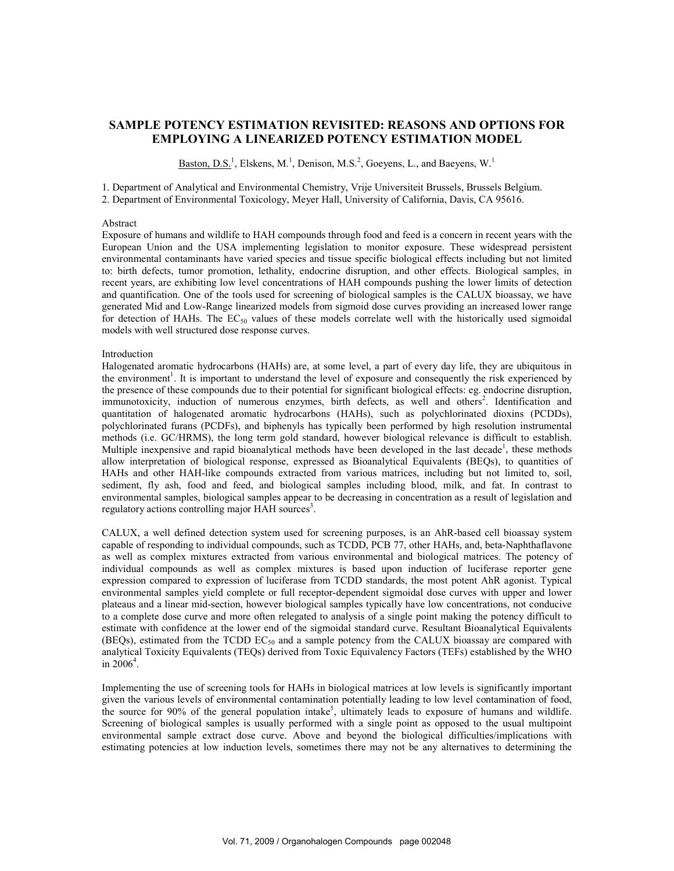# SAMPLE POTE CY ESTIMATIO REVISITED: REASO S A D OPTIO S FOR EMPLOYI G A LI EARIZED POTE CY ESTIMATIO MODEL

Baston, D.S.<sup>1</sup>, Elskens, M.<sup>1</sup>, Denison, M.S.<sup>2</sup>, Goeyens, L., and Baeyens, W.<sup>1</sup>

1. Department of Analytical and Environmental Chemistry, Vrije Universiteit Brussels, Brussels Belgium. 2. Department of Environmental Toxicology, Meyer Hall, University of California, Davis, CA 95616.

# Abstract

Exposure of humans and wildlife to HAH compounds through food and feed is a concern in recent years with the European Union and the USA implementing legislation to monitor exposure. These widespread persistent environmental contaminants have varied species and tissue specific biological effects including but not limited to: birth defects, tumor promotion, lethality, endocrine disruption, and other effects. Biological samples, in recent years, are exhibiting low level concentrations of HAH compounds pushing the lower limits of detection and quantification. One of the tools used for screening of biological samples is the CALUX bioassay, we have generated Mid and Low-Range linearized models from sigmoid dose curves providing an increased lower range for detection of HAHs. The  $EC_{50}$  values of these models correlate well with the historically used sigmoidal models with well structured dose response curves.

## Introduction

Halogenated aromatic hydrocarbons (HAHs) are, at some level, a part of every day life, they are ubiquitous in the environment<sup>1</sup>. It is important to understand the level of exposure and consequently the risk experienced by the presence of these compounds due to their potential for significant biological effects: eg. endocrine disruption, immunotoxicity, induction of numerous enzymes, birth defects, as well and others<sup>2</sup>. Identification and quantitation of halogenated aromatic hydrocarbons (HAHs), such as polychlorinated dioxins (PCDDs), polychlorinated furans (PCDFs), and biphenyls has typically been performed by high resolution instrumental methods (i.e. GC/HRMS), the long term gold standard, however biological relevance is difficult to establish. Multiple inexpensive and rapid bioanalytical methods have been developed in the last decade<sup>1</sup>, these methods allow interpretation of biological response, expressed as Bioanalytical Equivalents (BEQs), to quantities of HAHs and other HAH-like compounds extracted from various matrices, including but not limited to, soil, sediment, fly ash, food and feed, and biological samples including blood, milk, and fat. In contrast to environmental samples, biological samples appear to be decreasing in concentration as a result of legislation and regulatory actions controlling major HAH sources<sup>3</sup>.

CALUX, a well defined detection system used for screening purposes, is an AhR-based cell bioassay system capable of responding to individual compounds, such as TCDD, PCB 77, other HAHs, and, beta-Naphthaflavone as well as complex mixtures extracted from various environmental and biological matrices. The potency of individual compounds as well as complex mixtures is based upon induction of luciferase reporter gene expression compared to expression of luciferase from TCDD standards, the most potent AhR agonist. Typical environmental samples yield complete or full receptor-dependent sigmoidal dose curves with upper and lower plateaus and a linear mid-section, however biological samples typically have low concentrations, not conducive to a complete dose curve and more often relegated to analysis of a single point making the potency difficult to estimate with confidence at the lower end of the sigmoidal standard curve. Resultant Bioanalytical Equivalents (BEQs), estimated from the TCDD  $EC_{50}$  and a sample potency from the CALUX bioassay are compared with analytical Toxicity Equivalents (TEQs) derived from Toxic Equivalency Factors (TEFs) established by the WHO in  $2006^4$ .

Implementing the use of screening tools for HAHs in biological matrices at low levels is significantly important given the various levels of environmental contamination potentially leading to low level contamination of food, the source for 90% of the general population intake<sup>5</sup>, ultimately leads to exposure of humans and wildlife. Screening of biological samples is usually performed with a single point as opposed to the usual multipoint environmental sample extract dose curve. Above and beyond the biological difficulties/implications with estimating potencies at low induction levels, sometimes there may not be any alternatives to determining the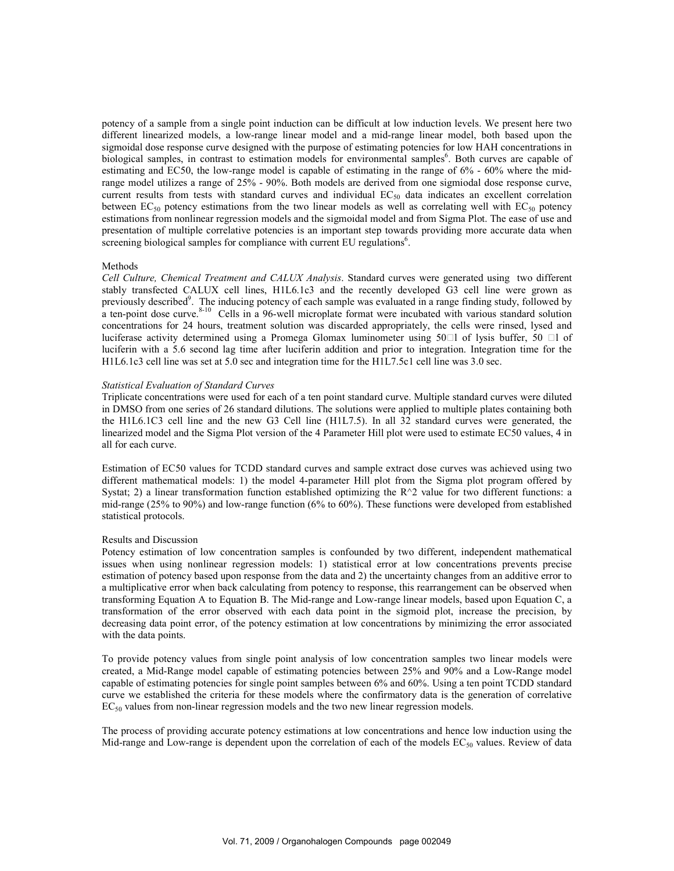potency of a sample from a single point induction can be difficult at low induction levels. We present here two different linearized models, a low-range linear model and a mid-range linear model, both based upon the sigmoidal dose response curve designed with the purpose of estimating potencies for low HAH concentrations in biological samples, in contrast to estimation models for environmental samples<sup>6</sup>. Both curves are capable of estimating and EC50, the low-range model is capable of estimating in the range of 6% - 60% where the midrange model utilizes a range of 25% - 90%. Both models are derived from one sigmiodal dose response curve, current results from tests with standard curves and individual  $EC_{50}$  data indicates an excellent correlation between  $EC_{50}$  potency estimations from the two linear models as well as correlating well with  $EC_{50}$  potency estimations from nonlinear regression models and the sigmoidal model and from Sigma Plot. The ease of use and presentation of multiple correlative potencies is an important step towards providing more accurate data when screening biological samples for compliance with current EU regulations<sup>6</sup>.

### Methods

Cell Culture, Chemical Treatment and CALUX Analysis. Standard curves were generated using two different stably transfected CALUX cell lines, H1L6.1c3 and the recently developed G3 cell line were grown as previously described<sup>9</sup>. The inducing potency of each sample was evaluated in a range finding study, followed by a ten-point dose curve.<sup>8-10</sup> Cells in a 96-well microplate format were incubated with various standard solution concentrations for 24 hours, treatment solution was discarded appropriately, the cells were rinsed, lysed and luciferase activity determined using a Promega Glomax luminometer using  $50 \square 1$  of lysis buffer,  $50 \square 1$  of luciferin with a 5.6 second lag time after luciferin addition and prior to integration. Integration time for the H1L6.1c3 cell line was set at 5.0 sec and integration time for the H1L7.5c1 cell line was 3.0 sec.

#### Statistical Evaluation of Standard Curves

Triplicate concentrations were used for each of a ten point standard curve. Multiple standard curves were diluted in DMSO from one series of 26 standard dilutions. The solutions were applied to multiple plates containing both the H1L6.1C3 cell line and the new G3 Cell line (H1L7.5). In all 32 standard curves were generated, the linearized model and the Sigma Plot version of the 4 Parameter Hill plot were used to estimate EC50 values, 4 in all for each curve.

Estimation of EC50 values for TCDD standard curves and sample extract dose curves was achieved using two different mathematical models: 1) the model 4-parameter Hill plot from the Sigma plot program offered by Systat; 2) a linear transformation function established optimizing the R^2 value for two different functions: a mid-range (25% to 90%) and low-range function (6% to 60%). These functions were developed from established statistical protocols.

# Results and Discussion

Potency estimation of low concentration samples is confounded by two different, independent mathematical issues when using nonlinear regression models: 1) statistical error at low concentrations prevents precise estimation of potency based upon response from the data and 2) the uncertainty changes from an additive error to a multiplicative error when back calculating from potency to response, this rearrangement can be observed when transforming Equation A to Equation B. The Mid-range and Low-range linear models, based upon Equation C, a transformation of the error observed with each data point in the sigmoid plot, increase the precision, by decreasing data point error, of the potency estimation at low concentrations by minimizing the error associated with the data points.

To provide potency values from single point analysis of low concentration samples two linear models were created, a Mid-Range model capable of estimating potencies between 25% and 90% and a Low-Range model capable of estimating potencies for single point samples between 6% and 60%. Using a ten point TCDD standard curve we established the criteria for these models where the confirmatory data is the generation of correlative  $EC_{50}$  values from non-linear regression models and the two new linear regression models.

The process of providing accurate potency estimations at low concentrations and hence low induction using the Mid-range and Low-range is dependent upon the correlation of each of the models  $EC_{50}$  values. Review of data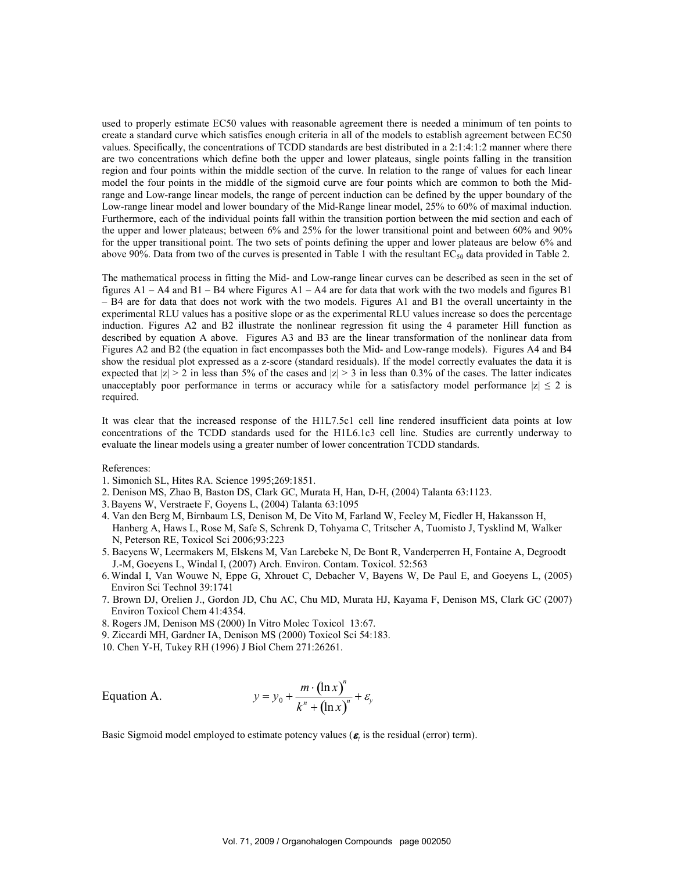used to properly estimate EC50 values with reasonable agreement there is needed a minimum of ten points to create a standard curve which satisfies enough criteria in all of the models to establish agreement between EC50 values. Specifically, the concentrations of TCDD standards are best distributed in a 2:1:4:1:2 manner where there are two concentrations which define both the upper and lower plateaus, single points falling in the transition region and four points within the middle section of the curve. In relation to the range of values for each linear model the four points in the middle of the sigmoid curve are four points which are common to both the Midrange and Low-range linear models, the range of percent induction can be defined by the upper boundary of the Low-range linear model and lower boundary of the Mid-Range linear model, 25% to 60% of maximal induction. Furthermore, each of the individual points fall within the transition portion between the mid section and each of the upper and lower plateaus; between 6% and 25% for the lower transitional point and between 60% and 90% for the upper transitional point. The two sets of points defining the upper and lower plateaus are below 6% and above 90%. Data from two of the curves is presented in Table 1 with the resultant  $EC_{50}$  data provided in Table 2.

The mathematical process in fitting the Mid- and Low-range linear curves can be described as seen in the set of figures  $A1 - A4$  and  $B1 - B4$  where Figures  $A1 - A4$  are for data that work with the two models and figures  $B1$ – B4 are for data that does not work with the two models. Figures A1 and B1 the overall uncertainty in the experimental RLU values has a positive slope or as the experimental RLU values increase so does the percentage induction. Figures A2 and B2 illustrate the nonlinear regression fit using the 4 parameter Hill function as described by equation A above. Figures A3 and B3 are the linear transformation of the nonlinear data from Figures A2 and B2 (the equation in fact encompasses both the Mid- and Low-range models). Figures A4 and B4 show the residual plot expressed as a z-score (standard residuals). If the model correctly evaluates the data it is expected that  $|z| > 2$  in less than 5% of the cases and  $|z| > 3$  in less than 0.3% of the cases. The latter indicates unacceptably poor performance in terms or accuracy while for a satisfactory model performance  $|z| \leq 2$  is required.

It was clear that the increased response of the H1L7.5c1 cell line rendered insufficient data points at low concentrations of the TCDD standards used for the H1L6.1c3 cell line. Studies are currently underway to evaluate the linear models using a greater number of lower concentration TCDD standards.

### References:

- 1. Simonich SL, Hites RA. Science 1995;269:1851.
- 2. Denison MS, Zhao B, Baston DS, Clark GC, Murata H, Han, D-H, (2004) Talanta 63:1123.
- 3. Bayens W, Verstraete F, Goyens L, (2004) Talanta 63:1095
- 4. Van den Berg M, Birnbaum LS, Denison M, De Vito M, Farland W, Feeley M, Fiedler H, Hakansson H, Hanberg A, Haws L, Rose M, Safe S, Schrenk D, Tohyama C, Tritscher A, Tuomisto J, Tysklind M, Walker N, Peterson RE, Toxicol Sci 2006;93:223
- 5. Baeyens W, Leermakers M, Elskens M, Van Larebeke N, De Bont R, Vanderperren H, Fontaine A, Degroodt J.-M, Goeyens L, Windal I, (2007) Arch. Environ. Contam. Toxicol. 52:563
- 6. Windal I, Van Wouwe N, Eppe G, Xhrouet C, Debacher V, Bayens W, De Paul E, and Goeyens L, (2005) Environ Sci Technol 39:1741
- 7. Brown DJ, Orelien J., Gordon JD, Chu AC, Chu MD, Murata HJ, Kayama F, Denison MS, Clark GC (2007) Environ Toxicol Chem 41:4354.
- 8. Rogers JM, Denison MS (2000) In Vitro Molec Toxicol 13:67.
- 9. Ziccardi MH, Gardner IA, Denison MS (2000) Toxicol Sci 54:183.
- 10. Chen Y-H, Tukey RH (1996) J Biol Chem 271:26261.

Equation A. 
$$
y = y_0 + \frac{m \cdot (\ln x)^n}{k^n + (\ln x)^n} + \varepsilon_y
$$

Basic Sigmoid model employed to estimate potency values ( $\epsilon$ <sub>i</sub> is the residual (error) term).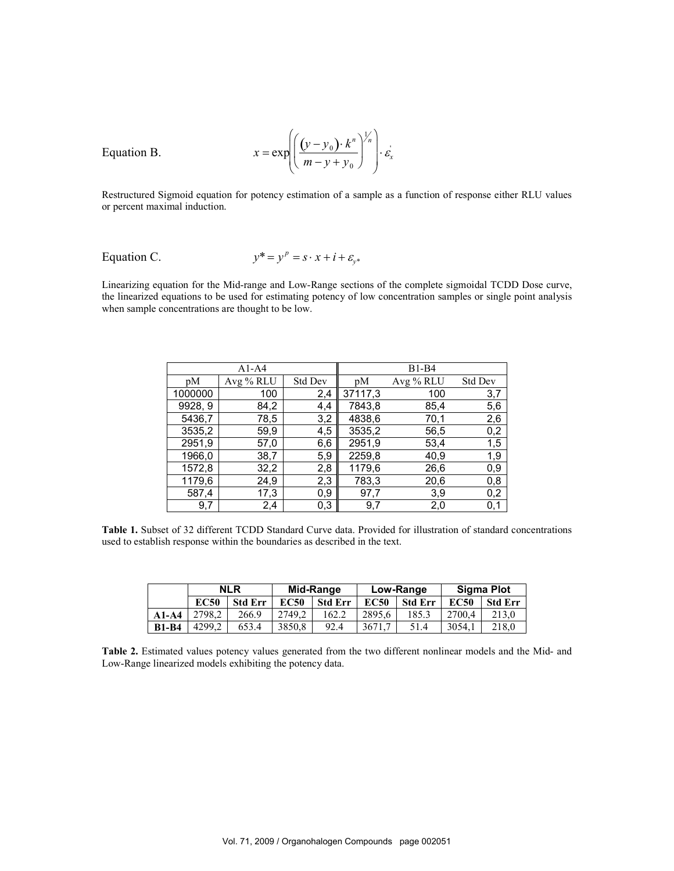$$
x = \exp\left(\left(\frac{(y - y_0) \cdot k^n}{m - y + y_0}\right)^{\frac{1}{n}}\right) \cdot \varepsilon_x^*
$$

Equation B.

Restructured Sigmoid equation for potency estimation of a sample as a function of response either RLU values or percent maximal induction.

Equation C. 
$$
y^* = y^p = s \cdot x + i + \varepsilon_{y^*}
$$

Linearizing equation for the Mid-range and Low-Range sections of the complete sigmoidal TCDD Dose curve, the linearized equations to be used for estimating potency of low concentration samples or single point analysis when sample concentrations are thought to be low.

|         | $A1-A4$   |                | $B1-B4$ |           |                |  |
|---------|-----------|----------------|---------|-----------|----------------|--|
| pM      | Avg % RLU | <b>Std Dev</b> | pM      | Avg % RLU | <b>Std Dev</b> |  |
| 1000000 | 100       | 2,4            | 37117,3 | 100       | 3,7            |  |
| 9928, 9 | 84,2      | 4,4            | 7843,8  | 85,4      | 5,6            |  |
| 5436,7  | 78,5      | 3,2            | 4838,6  | 70,1      | 2,6            |  |
| 3535,2  | 59,9      | 4,5            | 3535,2  | 56,5      | 0,2            |  |
| 2951,9  | 57,0      | 6,6            | 2951,9  | 53,4      | 1,5            |  |
| 1966,0  | 38,7      | 5,9            | 2259,8  | 40,9      | 1,9            |  |
| 1572,8  | 32,2      | 2,8            | 1179,6  | 26,6      | 0,9            |  |
| 1179,6  | 24,9      | 2,3            | 783,3   | 20,6      | 0,8            |  |
| 587,4   | 17,3      | $_{0,9}$       | 97,7    | 3,9       | 0,2            |  |
| 9,7     | 2,4       | 0,3            | 9,7     | 2,0       | 0,1            |  |

Table 1. Subset of 32 different TCDD Standard Curve data. Provided for illustration of standard concentrations used to establish response within the boundaries as described in the text.

|              | <b>NLR</b>  |                | Mid-Range   |                | Low-Range   |                | <b>Sigma Plot</b> |          |
|--------------|-------------|----------------|-------------|----------------|-------------|----------------|-------------------|----------|
|              | <b>EC50</b> | <b>Std Err</b> | <b>EC50</b> | <b>Std Err</b> | <b>EC50</b> | <b>Std Err</b> | <b>EC50</b>       | -Std-Err |
| $A1-A4$      | 2798.2      | 266.9          | 2749.2      | 162.2          | 2895.6      | 185.3          | 2700.4            | 213.0    |
| <b>B1-B4</b> | 4299.2      | 653.4          | 3850.8      | 92.4           | 3671.7      | 51.4           | 3054,1            | 218.0    |

Table 2. Estimated values potency values generated from the two different nonlinear models and the Mid- and Low-Range linearized models exhibiting the potency data.